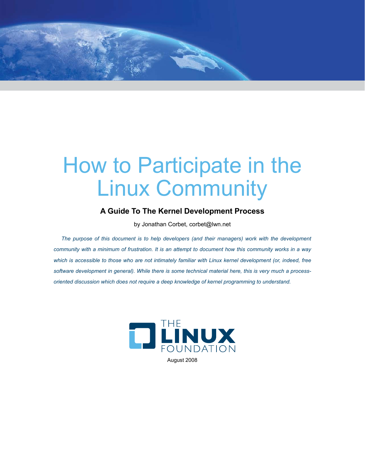

# How to Participate in the Linux Community

## **A Guide To The Kernel Development Process**

by Jonathan Corbet, corbet@lwn.net

*The purpose of this document is to help developers (and their managers) work with the development community with a minimum of frustration. It is an attempt to document how this community works in a way*  which is accessible to those who are not intimately familiar with Linux kernel development (or, indeed, free *software development in general). While there is some technical material here, this is very much a processoriented discussion which does not require a deep knowledge of kernel programming to understand.*

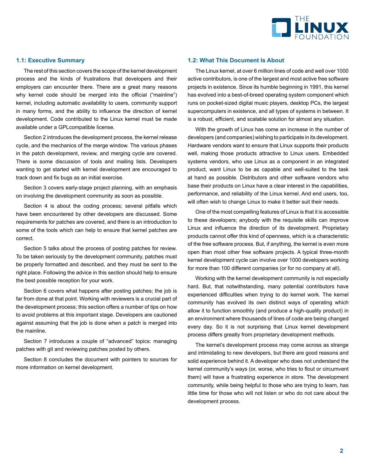

## **1.1: Executive Summary**

The rest of this section covers the scope of the kernel development process and the kinds of frustrations that developers and their employers can encounter there. There are a great many reasons why kernel code should be merged into the official ("mainline") kernel, including automatic availability to users, community support in many forms, and the ability to influence the direction of kernel development. Code contributed to the Linux kernel must be made available under a GPLcompatible license.

Section 2 introduces the development process, the kernel release cycle, and the mechanics of the merge window. The various phases in the patch development, review, and merging cycle are covered. There is some discussion of tools and mailing lists. Developers wanting to get started with kernel development are encouraged to track down and fix bugs as an initial exercise.

 Section 3 covers early-stage project planning, with an emphasis on involving the development community as soon as possible.

Section 4 is about the coding process; several pitfalls which have been encountered by other developers are discussed. Some requirements for patches are covered, and there is an introduction to some of the tools which can help to ensure that kernel patches are correct.

 Section 5 talks about the process of posting patches for review. To be taken seriously by the development community, patches must be properly formatted and described, and they must be sent to the right place. Following the advice in this section should help to ensure the best possible reception for your work.

Section 6 covers what happens after posting patches; the job is far from done at that point. Working with reviewers is a crucial part of the development process; this section offers a number of tips on how to avoid problems at this important stage. Developers are cautioned against assuming that the job is done when a patch is merged into the mainline.

Section 7 introduces a couple of "advanced" topics: managing patches with git and reviewing patches posted by others.

Section 8 concludes the document with pointers to sources for more information on kernel development.

## **1.2: What This Document Is About**

The Linux kernel, at over 6 million lines of code and well over 1000 active contributors, is one of the largest and most active free software projects in existence. Since its humble beginning in 1991, this kernel has evolved into a best-of-breed operating system component which runs on pocket-sized digital music players, desktop PCs, the largest supercomputers in existence, and all types of systems in between. It is a robust, efficient, and scalable solution for almost any situation.

With the growth of Linux has come an increase in the number of developers (and companies) wishing to participate in its development. Hardware vendors want to ensure that Linux supports their products well, making those products attractive to Linux users. Embedded systems vendors, who use Linux as a component in an integrated product, want Linux to be as capable and well-suited to the task at hand as possible. Distributors and other software vendors who base their products on Linux have a clear interest in the capabilities, performance, and reliability of the Linux kernel. And end users, too, will often wish to change Linux to make it better suit their needs.

One of the most compelling features of Linux is that it is accessible to these developers; anybody with the requisite skills can improve Linux and influence the direction of its development. Proprietary products cannot offer this kind of openness, which is a characteristic of the free software process. But, if anything, the kernel is even more open than most other free software projects. A typical three-month kernel development cycle can involve over 1000 developers working for more than 100 different companies (or for no company at all).

Working with the kernel development community is not especially hard. But, that notwithstanding, many potential contributors have experienced difficulties when trying to do kernel work. The kernel community has evolved its own distinct ways of operating which allow it to function smoothly (and produce a high-quality product) in an environment where thousands of lines of code are being changed every day. So it is not surprising that Linux kernel development process differs greatly from proprietary development methods.

The kernel's development process may come across as strange and intimidating to new developers, but there are good reasons and solid experience behind it. A developer who does not understand the kernel community's ways (or, worse, who tries to flout or circumvent them) will have a frustrating experience in store. The development community, while being helpful to those who are trying to learn, has little time for those who will not listen or who do not care about the development process.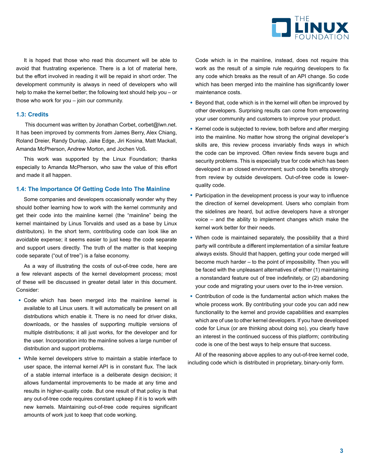

It is hoped that those who read this document will be able to avoid that frustrating experience. There is a lot of material here, but the effort involved in reading it will be repaid in short order. The development community is always in need of developers who will help to make the kernel better; the following text should help you – or those who work for you – join our community.

## **1.3: Credits**

 This document was written by Jonathan Corbet, corbet@lwn.net. It has been improved by comments from James Berry, Alex Chiang, Roland Dreier, Randy Dunlap, Jake Edge, Jiri Kosina, Matt Mackall, Amanda McPherson, Andrew Morton, and Jochen Voß.

This work was supported by the Linux Foundation; thanks especially to Amanda McPherson, who saw the value of this effort and made it all happen.

## **1.4: The Importance Of Getting Code Into The Mainline**

Some companies and developers occasionally wonder why they should bother learning how to work with the kernel community and get their code into the mainline kernel (the "mainline" being the kernel maintained by Linus Torvalds and used as a base by Linux distributors). In the short term, contributing code can look like an avoidable expense; it seems easier to just keep the code separate and support users directly. The truth of the matter is that keeping code separate ("out of tree") is a false economy.

As a way of illustrating the costs of out-of-tree code, here are a few relevant aspects of the kernel development process; most of these will be discussed in greater detail later in this document. Consider:

- Code which has been merged into the mainline kernel is available to all Linux users. It will automatically be present on all distributions which enable it. There is no need for driver disks, downloads, or the hassles of supporting multiple versions of multiple distributions; it all just works, for the developer and for the user. Incorporation into the mainline solves a large number of distribution and support problems.
- While kernel developers strive to maintain a stable interface to user space, the internal kernel API is in constant flux. The lack of a stable internal interface is a deliberate design decision; it allows fundamental improvements to be made at any time and results in higher-quality code. But one result of that policy is that any out-of-tree code requires constant upkeep if it is to work with new kernels. Maintaining out-of-tree code requires significant amounts of work just to keep that code working.

Code which is in the mainline, instead, does not require this work as the result of a simple rule requiring developers to fix any code which breaks as the result of an API change. So code which has been merged into the mainline has significantly lower maintenance costs.

- Beyond that, code which is in the kernel will often be improved by other developers. Surprising results can come from empowering your user community and customers to improve your product.
- Kernel code is subjected to review, both before and after merging into the mainline. No matter how strong the original developer's skills are, this review process invariably finds ways in which the code can be improved. Often review finds severe bugs and security problems. This is especially true for code which has been developed in an closed environment; such code benefits strongly from review by outside developers. Out-of-tree code is lowerquality code.
- Participation in the development process is your way to influence the direction of kernel development. Users who complain from the sidelines are heard, but active developers have a stronger voice – and the ability to implement changes which make the kernel work better for their needs.
- When code is maintained separately, the possibility that a third party will contribute a different implementation of a similar feature always exists. Should that happen, getting your code merged will become much harder – to the point of impossibility. Then you will be faced with the unpleasant alternatives of either (1) maintaining a nonstandard feature out of tree indefinitely, or (2) abandoning your code and migrating your users over to the in-tree version.
- Contribution of code is the fundamental action which makes the whole process work. By contributing your code you can add new functionality to the kernel and provide capabilities and examples which are of use to other kernel developers. If you have developed code for Linux (or are thinking about doing so), you clearly have an interest in the continued success of this platform; contributing code is one of the best ways to help ensure that success.

All of the reasoning above applies to any out-of-tree kernel code, including code which is distributed in proprietary, binary-only form.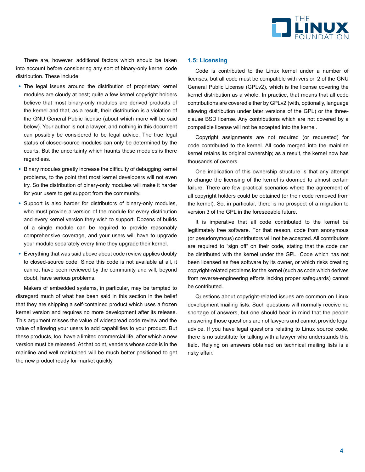

There are, however, additional factors which should be taken into account before considering any sort of binary-only kernel code distribution. These include:

- The legal issues around the distribution of proprietary kernel modules are cloudy at best; quite a few kernel copyright holders believe that most binary-only modules are derived products of the kernel and that, as a result, their distribution is a violation of the GNU General Public license (about which more will be said below). Your author is not a lawyer, and nothing in this document can possibly be considered to be legal advice. The true legal status of closed-source modules can only be determined by the courts. But the uncertainty which haunts those modules is there regardless.
- Binary modules greatly increase the difficulty of debugging kernel problems, to the point that most kernel developers will not even try. So the distribution of binary-only modules will make it harder for your users to get support from the community.
- Support is also harder for distributors of binary-only modules, who must provide a version of the module for every distribution and every kernel version they wish to support. Dozens of builds of a single module can be required to provide reasonably comprehensive coverage, and your users will have to upgrade your module separately every time they upgrade their kernel.
- Everything that was said above about code review applies doubly to closed-source code. Since this code is not available at all, it cannot have been reviewed by the community and will, beyond doubt, have serious problems.

Makers of embedded systems, in particular, may be tempted to disregard much of what has been said in this section in the belief that they are shipping a self-contained product which uses a frozen kernel version and requires no more development after its release. This argument misses the value of widespread code review and the value of allowing your users to add capabilities to your product. But these products, too, have a limited commercial life, after which a new version must be released. At that point, venders whose code is in the mainline and well maintained will be much better positioned to get the new product ready for market quickly.

## **1.5: Licensing**

Code is contributed to the Linux kernel under a number of licenses, but all code must be compatible with version 2 of the GNU General Public License (GPLv2), which is the license covering the kernel distribution as a whole. In practice, that means that all code contributions are covered either by GPLv2 (with, optionally, language allowing distribution under later versions of the GPL) or the threeclause BSD license. Any contributions which are not covered by a compatible license will not be accepted into the kernel.

Copyright assignments are not required (or requested) for code contributed to the kernel. All code merged into the mainline kernel retains its original ownership; as a result, the kernel now has thousands of owners.

One implication of this ownership structure is that any attempt to change the licensing of the kernel is doomed to almost certain failure. There are few practical scenarios where the agreement of all copyright holders could be obtained (or their code removed from the kernel). So, in particular, there is no prospect of a migration to version 3 of the GPL in the foreseeable future.

 It is imperative that all code contributed to the kernel be legitimately free software. For that reason, code from anonymous (or pseudonymous) contributors will not be accepted. All contributors are required to "sign off" on their code, stating that the code can be distributed with the kernel under the GPL. Code which has not been licensed as free software by its owner, or which risks creating copyright-related problems for the kernel (such as code which derives from reverse-engineering efforts lacking proper safeguards) cannot be contributed.

Questions about copyright-related issues are common on Linux development mailing lists. Such questions will normally receive no shortage of answers, but one should bear in mind that the people answering those questions are not lawyers and cannot provide legal advice. If you have legal questions relating to Linux source code, there is no substitute for talking with a lawyer who understands this field. Relying on answers obtained on technical mailing lists is a risky affair.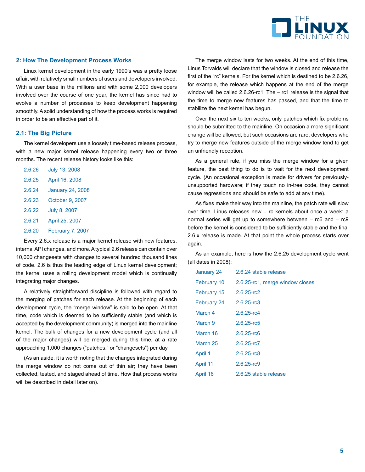

## **2: How The Development Process Works**

Linux kernel development in the early 1990's was a pretty loose affair, with relatively small numbers of users and developers involved. With a user base in the millions and with some 2,000 developers involved over the course of one year, the kernel has since had to evolve a number of processes to keep development happening smoothly. A solid understanding of how the process works is required in order to be an effective part of it.

## **2.1: The Big Picture**

The kernel developers use a loosely time-based release process, with a new major kernel release happening every two or three months. The recent release history looks like this:

2.6.26 July 13, 2008 2.6.25 April 16, 2008 2.6.24 January 24, 2008 2.6.23 October 9, 2007 2.6.22 July 8, 2007 2.6.21 April 25, 2007 2.6.20 February 7, 2007

Every 2.6.x release is a major kernel release with new features, internal API changes, and more. A typical 2.6 release can contain over 10,000 changesets with changes to several hundred thousand lines of code. 2.6 is thus the leading edge of Linux kernel development; the kernel uses a rolling development model which is continually integrating major changes.

A relatively straightforward discipline is followed with regard to the merging of patches for each release. At the beginning of each development cycle, the "merge window" is said to be open. At that time, code which is deemed to be sufficiently stable (and which is accepted by the development community) is merged into the mainline kernel. The bulk of changes for a new development cycle (and all of the major changes) will be merged during this time, at a rate approaching 1,000 changes ("patches," or "changesets") per day.

(As an aside, it is worth noting that the changes integrated during the merge window do not come out of thin air; they have been collected, tested, and staged ahead of time. How that process works will be described in detail later on).

The merge window lasts for two weeks. At the end of this time, Linus Torvalds will declare that the window is closed and release the first of the "rc" kernels. For the kernel which is destined to be 2.6.26, for example, the release which happens at the end of the merge window will be called 2.6.26-rc1. The – rc1 release is the signal that the time to merge new features has passed, and that the time to stabilize the next kernel has begun.

Over the next six to ten weeks, only patches which fix problems should be submitted to the mainline. On occasion a more significant change will be allowed, but such occasions are rare; developers who try to merge new features outside of the merge window tend to get an unfriendly reception.

As a general rule, if you miss the merge window for a given feature, the best thing to do is to wait for the next development cycle. (An occasional exception is made for drivers for previouslyunsupported hardware; if they touch no in-tree code, they cannot cause regressions and should be safe to add at any time).

As fixes make their way into the mainline, the patch rate will slow over time. Linus releases new – rc kernels about once a week; a normal series will get up to somewhere between – rc6 and – rc9 before the kernel is considered to be sufficiently stable and the final 2.6.x release is made. At that point the whole process starts over again.

As an example, here is how the 2.6.25 development cycle went (all dates in 2008):

| January 24         | 2.6.24 stable release           |
|--------------------|---------------------------------|
| <b>February 10</b> | 2.6.25-rc1, merge window closes |
| February 15        | $2.6.25$ -rc $2$                |
| February 24        | $2.6.25 - rc3$                  |
| March 4            | $2.6.25 - r c 4$                |
| March 9            | $2.6.25 - r c 5$                |
| March 16           | $2.6.25 - r \cdot c \cdot 6$    |
| March 25           | $2.6.25$ -rc7                   |
| April 1            | $2.6.25 - r c 8$                |
| April 11           | $2.6.25 - r c.9$                |
| April 16           | 2.6.25 stable release           |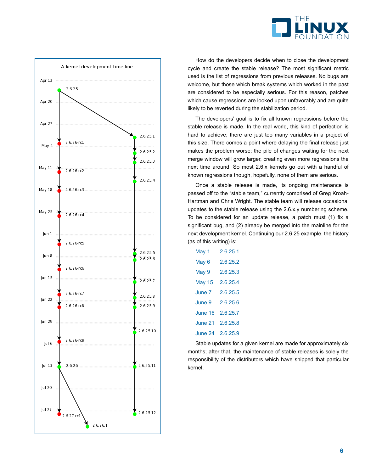



How do the developers decide when to close the development cycle and create the stable release? The most significant metric used is the list of regressions from previous releases. No bugs are welcome, but those which break systems which worked in the past are considered to be especially serious. For this reason, patches which cause regressions are looked upon unfavorably and are quite likely to be reverted during the stabilization period.

The developers' goal is to fix all known regressions before the stable release is made. In the real world, this kind of perfection is hard to achieve; there are just too many variables in a project of this size. There comes a point where delaying the final release just makes the problem worse; the pile of changes waiting for the next merge window will grow larger, creating even more regressions the next time around. So most 2.6.x kernels go out with a handful of known regressions though, hopefully, none of them are serious.

Once a stable release is made, its ongoing maintenance is passed off to the "stable team," currently comprised of Greg Kroah-Hartman and Chris Wright. The stable team will release occasional updates to the stable release using the 2.6.x.y numbering scheme. To be considered for an update release, a patch must (1) fix a significant bug, and (2) already be merged into the mainline for the next development kernel. Continuing our 2.6.25 example, the history (as of this writing) is:

| May 1         | 26.25.1 |
|---------------|---------|
| May 6         | 26.25.2 |
| May 9         | 26.25.3 |
| <b>May 15</b> | 26.25.4 |
| June 7        | 26.25.5 |
| June 9        | 26.25.6 |
| June 16       | 26257   |
| June 21       | 26.25.8 |
| June 24       | 26.25.9 |

Stable updates for a given kernel are made for approximately six months; after that, the maintenance of stable releases is solely the responsibility of the distributors which have shipped that particular kernel.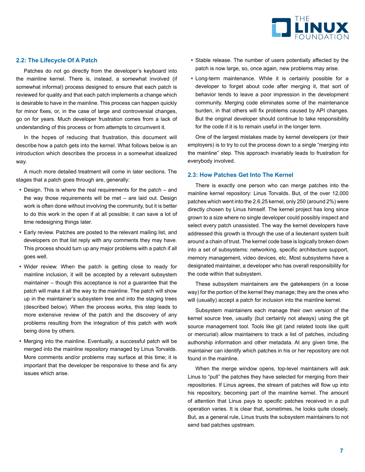

## **2.2: The Lifecycle Of A Patch**

Patches do not go directly from the developer's keyboard into the mainline kernel. There is, instead, a somewhat involved (if somewhat informal) process designed to ensure that each patch is reviewed for quality and that each patch implements a change which is desirable to have in the mainline. This process can happen quickly for minor fixes, or, in the case of large and controversial changes, go on for years. Much developer frustration comes from a lack of understanding of this process or from attempts to circumvent it.

In the hopes of reducing that frustration, this document will describe how a patch gets into the kernel. What follows below is an introduction which describes the process in a somewhat idealized way.

A much more detailed treatment will come in later sections. The stages that a patch goes through are, generally:

- Design. This is where the real requirements for the patch and the way those requirements will be met – are laid out. Design work is often done without involving the community, but it is better to do this work in the open if at all possible; it can save a lot of time redesigning things later.
- Early review. Patches are posted to the relevant mailing list, and developers on that list reply with any comments they may have. This process should turn up any major problems with a patch if all goes well.
- Wider review. When the patch is getting close to ready for mainline inclusion, it will be accepted by a relevant subsystem maintainer – though this acceptance is not a guarantee that the patch will make it all the way to the mainline. The patch will show up in the maintainer's subsystem tree and into the staging trees (described below). When the process works, this step leads to more extensive review of the patch and the discovery of any problems resulting from the integration of this patch with work being done by others.
- Merging into the mainline. Eventually, a successful patch will be merged into the mainline repository managed by Linus Torvalds. More comments and/or problems may surface at this time; it is important that the developer be responsive to these and fix any issues which arise.
- Stable release. The number of users potentially affected by the patch is now large, so, once again, new problems may arise.
- Long-term maintenance. While it is certainly possible for a developer to forget about code after merging it, that sort of behavior tends to leave a poor impression in the development community. Merging code eliminates some of the maintenance burden, in that others will fix problems caused by API changes. But the original developer should continue to take responsibility for the code if it is to remain useful in the longer term.

One of the largest mistakes made by kernel developers (or their employers) is to try to cut the process down to a single "merging into the mainline" step. This approach invariably leads to frustration for everybody involved.

#### **2.3: How Patches Get Into The Kernel**

There is exactly one person who can merge patches into the mainline kernel repository: Linus Torvalds. But, of the over 12,000 patches which went into the 2.6.25 kernel, only 250 (around 2%) were directly chosen by Linus himself. The kernel project has long since grown to a size where no single developer could possibly inspect and select every patch unassisted. The way the kernel developers have addressed this growth is through the use of a lieutenant system built around a chain of trust. The kernel code base is logically broken down into a set of subsystems: networking, specific architecture support, memory management, video devices, etc. Most subsystems have a designated maintainer, a developer who has overall responsibility for the code within that subsystem.

These subsystem maintainers are the gatekeepers (in a loose way) for the portion of the kernel they manage; they are the ones who will (usually) accept a patch for inclusion into the mainline kernel.

Subsystem maintainers each manage their own version of the kernel source tree, usually (but certainly not always) using the git source management tool. Tools like git (and related tools like quilt or mercurial) allow maintainers to track a list of patches, including authorship information and other metadata. At any given time, the maintainer can identify which patches in his or her repository are not found in the mainline.

When the merge window opens, top-level maintainers will ask Linus to "pull" the patches they have selected for merging from their repositories. If Linus agrees, the stream of patches will flow up into his repository, becoming part of the mainline kernel. The amount of attention that Linus pays to specific patches received in a pull operation varies. It is clear that, sometimes, he looks quite closely. But, as a general rule, Linus trusts the subsystem maintainers to not send bad patches upstream.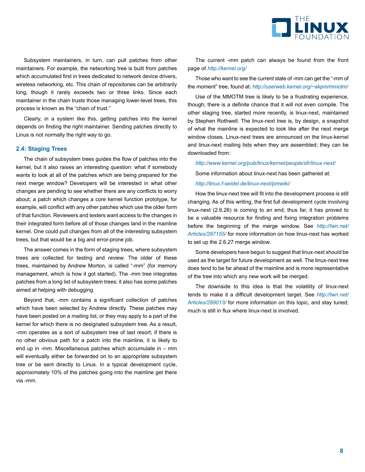

Subsystem maintainers, in turn, can pull patches from other maintainers. For example, the networking tree is built from patches which accumulated first in trees dedicated to network device drivers, wireless networking, etc. This chain of repositories can be arbitrarily long, though it rarely exceeds two or three links. Since each maintainer in the chain trusts those managing lower-level trees, this process is known as the "chain of trust."

Clearly, in a system like this, getting patches into the kernel depends on finding the right maintainer. Sending patches directly to Linus is not normally the right way to go.

## **2.4: Staging Trees**

The chain of subsystem trees guides the flow of patches into the kernel, but it also raises an interesting question: what if somebody wants to look at all of the patches which are being prepared for the next merge window? Developers will be interested in what other changes are pending to see whether there are any conflicts to worry about; a patch which changes a core kernel function prototype, for example, will conflict with any other patches which use the older form of that function. Reviewers and testers want access to the changes in their integrated form before all of those changes land in the mainline kernel. One could pull changes from all of the interesting subsystem trees, but that would be a big and error-prone job.

The answer comes in the form of staging trees, where subsystem trees are collected for testing and review. The older of these trees, maintained by Andrew Morton, is called "-mm" (for memory management, which is how it got started). The -mm tree integrates patches from a long list of subsystem trees; it also has some patches aimed at helping with debugging.

Beyond that, -mm contains a significant collection of patches which have been selected by Andrew directly. These patches may have been posted on a mailing list, or they may apply to a part of the kernel for which there is no designated subsystem tree. As a result, -mm operates as a sort of subsystem tree of last resort; if there is no other obvious path for a patch into the mainline, it is likely to end up in -mm. Miscellaneous patches which accumulate in – mm will eventually either be forwarded on to an appropriate subsystem tree or be sent directly to Linus. In a typical development cycle, approximately 10% of the patches going into the mainline get there via -mm.

The current -mm patch can always be found from the front page of *http://kernel.org/*

Those who want to see the current state of -mm can get the "-mm of the moment" tree, found at: *http://userweb.kernel.org/~akpm/mmotm/*

Use of the MMOTM tree is likely to be a frustrating experience, though; there is a definite chance that it will not even compile. The other staging tree, started more recently, is linux-next, maintained by Stephen Rothwell. The linux-next tree is, by design, a snapshot of what the mainline is expected to look like after the next merge window closes. Linux-next trees are announced on the linux-kernel and linux-next mailing lists when they are assembled; they can be downloaded from:

*http://www.kernel.org/pub/linux/kernel/people/sfr/linux-next/*

Some information about linux-next has been gathered at:

#### *http://linux.f-seidel.de/linux-next/pmwiki/*

 How the linux-next tree will fit into the development process is still changing. As of this writing, the first full development cycle involving linux-next (2.6.26) is coming to an end; thus far, it has proved to be a valuable resource for finding and fixing integration problems before the beginning of the merge window. See *http://lwn.net/ Articles/287155/* for more information on how linux-next has worked to set up the 2.6.27 merge window.

Some developers have begun to suggest that linux-next should be used as the target for future development as well. The linux-next tree does tend to be far ahead of the mainline and is more representative of the tree into which any new work will be merged.

The downside to this idea is that the volatility of linux-next tends to make it a difficult development target. See *http://lwn.net/ Articles/289013/* for more information on this topic, and stay tuned; much is still in flux where linux-next is involved.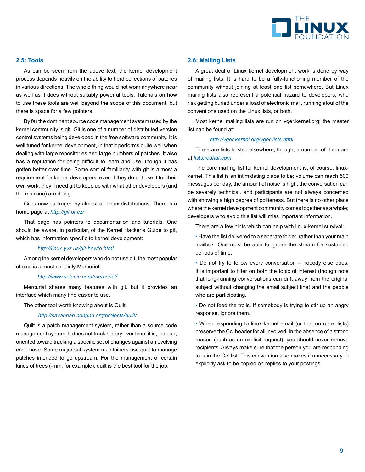

## **2.5: Tools**

As can be seen from the above text, the kernel development process depends heavily on the ability to herd collections of patches in various directions. The whole thing would not work anywhere near as well as it does without suitably powerful tools. Tutorials on how to use these tools are well beyond the scope of this document, but there is space for a few pointers.

By far the dominant source code management system used by the kernel community is git. Git is one of a number of distributed version control systems being developed in the free software community. It is well tuned for kernel development, in that it performs quite well when dealing with large repositories and large numbers of patches. It also has a reputation for being difficult to learn and use, though it has gotten better over time. Some sort of familiarity with git is almost a requirement for kernel developers; even if they do not use it for their own work, they'll need git to keep up with what other developers (and the mainline) are doing.

Git is now packaged by almost all Linux distributions. There is a home page at *http://git.or.cz/*

That page has pointers to documentation and tutorials. One should be aware, in particular, of the Kernel Hacker's Guide to git, which has information specific to kernel development:

#### *http://linux.yyz.us/git-howto.html*

Among the kernel developers who do not use git, the most popular choice is almost certainly Mercurial:

#### *http://www.selenic.com/mercurial/*

Mercurial shares many features with git, but it provides an interface which many find easier to use.

The other tool worth knowing about is Quilt:

#### *http://savannah.nongnu.org/projects/quilt/*

Quilt is a patch management system, rather than a source code management system. It does not track history over time; it is, instead, oriented toward tracking a specific set of changes against an evolving code base. Some major subsystem maintainers use quilt to manage patches intended to go upstream. For the management of certain kinds of trees (-mm, for example), quilt is the best tool for the job.

## **2.6: Mailing Lists**

A great deal of Linux kernel development work is done by way of mailing lists. It is hard to be a fully-functioning member of the community without joining at least one list somewhere. But Linux mailing lists also represent a potential hazard to developers, who risk getting buried under a load of electronic mail, running afoul of the conventions used on the Linux lists, or both.

Most kernel mailing lists are run on vger.kernel.org; the master list can be found at:

#### *http://vger.kernel.org/vger-lists.html*

There are lists hosted elsewhere, though; a number of them are at *lists.redhat.com*.

The core mailing list for kernel development is, of course, linuxkernel. This list is an intimidating place to be; volume can reach 500 messages per day, the amount of noise is high, the conversation can be severely technical, and participants are not always concerned with showing a high degree of politeness. But there is no other place where the kernel development community comes together as a whole; developers who avoid this list will miss important information.

There are a few hints which can help with linux-kernel survival:

 • Have the list delivered to a separate folder, rather than your main mailbox. One must be able to ignore the stream for sustained periods of time.

 • Do not try to follow every conversation – nobody else does. It is important to filter on both the topic of interest (though note that long-running conversations can drift away from the original subject without changing the email subject line) and the people who are participating.

 • Do not feed the trolls. If somebody is trying to stir up an angry response, ignore them.

 • When responding to linux-kernel email (or that on other lists) preserve the Cc: header for all involved. In the absence of a strong reason (such as an explicit request), you should never remove recipients. Always make sure that the person you are responding to is in the Cc: list. This convention also makes it unnecessary to explicitly ask to be copied on replies to your postings.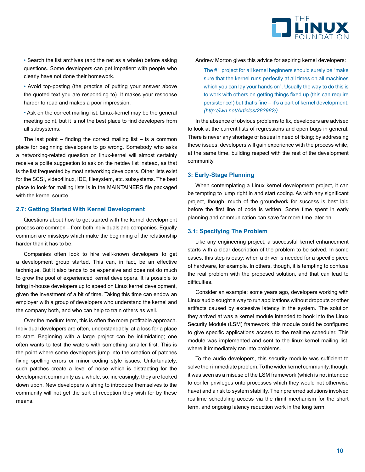

 • Search the list archives (and the net as a whole) before asking questions. Some developers can get impatient with people who clearly have not done their homework.

 • Avoid top-posting (the practice of putting your answer above the quoted text you are responding to). It makes your response harder to read and makes a poor impression.

 • Ask on the correct mailing list. Linux-kernel may be the general meeting point, but it is not the best place to find developers from all subsystems.

The last point  $-$  finding the correct mailing list  $-$  is a common place for beginning developers to go wrong. Somebody who asks a networking-related question on linux-kernel will almost certainly receive a polite suggestion to ask on the netdev list instead, as that is the list frequented by most networking developers. Other lists exist for the SCSI, video4linux, IDE, filesystem, etc. subsystems. The best place to look for mailing lists is in the MAINTAINERS file packaged with the kernel source.

## **2.7: Getting Started With Kernel Development**

Questions about how to get started with the kernel development process are common – from both individuals and companies. Equally common are missteps which make the beginning of the relationship harder than it has to be.

Companies often look to hire well-known developers to get a development group started. This can, in fact, be an effective technique. But it also tends to be expensive and does not do much to grow the pool of experienced kernel developers. It is possible to bring in-house developers up to speed on Linux kernel development, given the investment of a bit of time. Taking this time can endow an employer with a group of developers who understand the kernel and the company both, and who can help to train others as well.

Over the medium term, this is often the more profitable approach. Individual developers are often, understandably, at a loss for a place to start. Beginning with a large project can be intimidating; one often wants to test the waters with something smaller first. This is the point where some developers jump into the creation of patches fixing spelling errors or minor coding style issues. Unfortunately, such patches create a level of noise which is distracting for the development community as a whole, so, increasingly, they are looked down upon. New developers wishing to introduce themselves to the community will not get the sort of reception they wish for by these means.

Andrew Morton gives this advice for aspiring kernel developers:

The #1 project for all kernel beginners should surely be "make sure that the kernel runs perfectly at all times on all machines which you can lay your hands on". Usually the way to do this is to work with others on getting things fixed up (this can require persistence!) but that's fine – it's a part of kernel development. *(http://lwn.net/Articles/283982/)*

In the absence of obvious problems to fix, developers are advised to look at the current lists of regressions and open bugs in general. There is never any shortage of issues in need of fixing; by addressing these issues, developers will gain experience with the process while, at the same time, building respect with the rest of the development community.

## **3: Early-Stage Planning**

When contemplating a Linux kernel development project, it can be tempting to jump right in and start coding. As with any significant project, though, much of the groundwork for success is best laid before the first line of code is written. Some time spent in early planning and communication can save far more time later on.

#### **3.1: Specifying The Problem**

Like any engineering project, a successful kernel enhancement starts with a clear description of the problem to be solved. In some cases, this step is easy: when a driver is needed for a specific piece of hardware, for example. In others, though, it is tempting to confuse the real problem with the proposed solution, and that can lead to difficulties.

Consider an example: some years ago, developers working with Linux audio sought a way to run applications without dropouts or other artifacts caused by excessive latency in the system. The solution they arrived at was a kernel module intended to hook into the Linux Security Module (LSM) framework; this module could be configured to give specific applications access to the realtime scheduler. This module was implemented and sent to the linux-kernel mailing list, where it immediately ran into problems.

To the audio developers, this security module was sufficient to solve their immediate problem. To the wider kernel community, though, it was seen as a misuse of the LSM framework (which is not intended to confer privileges onto processes which they would not otherwise have) and a risk to system stability. Their preferred solutions involved realtime scheduling access via the rlimit mechanism for the short term, and ongoing latency reduction work in the long term.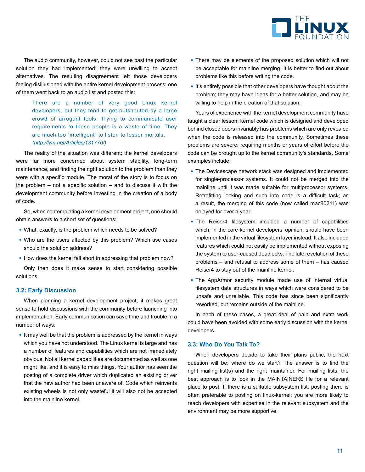

The audio community, however, could not see past the particular solution they had implemented; they were unwilling to accept alternatives. The resulting disagreement left those developers feeling disillusioned with the entire kernel development process; one of them went back to an audio list and posted this:

There are a number of very good Linux kernel developers, but they tend to get outshouted by a large crowd of arrogant fools. Trying to communicate user requirements to these people is a waste of time. They are much too "intelligent" to listen to lesser mortals. *(http://lwn.net/Articles/131776/)*

The reality of the situation was different; the kernel developers were far more concerned about system stability, long-term maintenance, and finding the right solution to the problem than they were with a specific module. The moral of the story is to focus on the problem  $-$  not a specific solution  $-$  and to discuss it with the development community before investing in the creation of a body of code.

So, when contemplating a kernel development project, one should obtain answers to a short set of questions:

- What, exactly, is the problem which needs to be solved?
- Who are the users affected by this problem? Which use cases should the solution address?
- How does the kernel fall short in addressing that problem now?

Only then does it make sense to start considering possible solutions.

#### **3.2: Early Discussion**

When planning a kernel development project, it makes great sense to hold discussions with the community before launching into implementation. Early communication can save time and trouble in a number of ways:

• It may well be that the problem is addressed by the kernel in ways which you have not understood. The Linux kernel is large and has a number of features and capabilities which are not immediately obvious. Not all kernel capabilities are documented as well as one might like, and it is easy to miss things. Your author has seen the posting of a complete driver which duplicated an existing driver that the new author had been unaware of. Code which reinvents existing wheels is not only wasteful it will also not be accepted into the mainline kernel.

- There may be elements of the proposed solution which will not be acceptable for mainline merging. It is better to find out about problems like this before writing the code.
- It's entirely possible that other developers have thought about the problem; they may have ideas for a better solution, and may be willing to help in the creation of that solution.

Years of experience with the kernel development community have taught a clear lesson: kernel code which is designed and developed behind closed doors invariably has problems which are only revealed when the code is released into the community. Sometimes these problems are severe, requiring months or years of effort before the code can be brought up to the kernel community's standards. Some examples include:

- The Devicescape network stack was designed and implemented for single-processor systems. It could not be merged into the mainline until it was made suitable for multiprocessor systems. Retrofitting locking and such into code is a difficult task; as a result, the merging of this code (now called mac80211) was delayed for over a year.
- The Reiser4 filesystem included a number of capabilities which, in the core kernel developers' opinion, should have been implemented in the virtual filesystem layer instead. It also included features which could not easily be implemented without exposing the system to user-caused deadlocks. The late revelation of these problems – and refusal to address some of them – has caused Reiser4 to stay out of the mainline kernel.
- The AppArmor security module made use of internal virtual filesystem data structures in ways which were considered to be unsafe and unreliable. This code has since been significantly reworked, but remains outside of the mainline.

In each of these cases, a great deal of pain and extra work could have been avoided with some early discussion with the kernel developers.

## **3.3: Who Do You Talk To?**

When developers decide to take their plans public, the next question will be: where do we start? The answer is to find the right mailing list(s) and the right maintainer. For mailing lists, the best approach is to look in the MAINTAINERS file for a relevant place to post. If there is a suitable subsystem list, posting there is often preferable to posting on linux-kernel; you are more likely to reach developers with expertise in the relevant subsystem and the environment may be more supportive.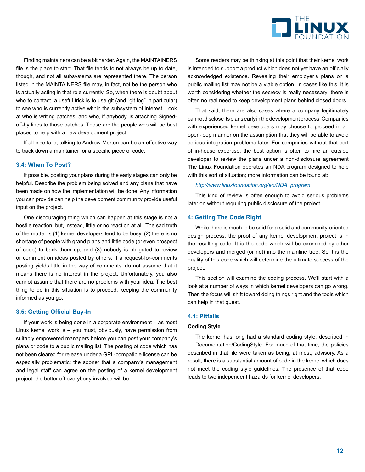

Finding maintainers can be a bit harder. Again, the MAINTAINERS file is the place to start. That file tends to not always be up to date, though, and not all subsystems are represented there. The person listed in the MAINTAINERS file may, in fact, not be the person who is actually acting in that role currently. So, when there is doubt about who to contact, a useful trick is to use git (and "git log" in particular) to see who is currently active within the subsystem of interest. Look at who is writing patches, and who, if anybody, is attaching Signedoff-by lines to those patches. Those are the people who will be best placed to help with a new development project.

If all else fails, talking to Andrew Morton can be an effective way to track down a maintainer for a specific piece of code.

## **3.4: When To Post?**

If possible, posting your plans during the early stages can only be helpful. Describe the problem being solved and any plans that have been made on how the implementation will be done. Any information you can provide can help the development community provide useful input on the project.

One discouraging thing which can happen at this stage is not a hostile reaction, but, instead, little or no reaction at all. The sad truth of the matter is (1) kernel developers tend to be busy, (2) there is no shortage of people with grand plans and little code (or even prospect of code) to back them up, and (3) nobody is obligated to review or comment on ideas posted by others. If a request-for-comments posting yields little in the way of comments, do not assume that it means there is no interest in the project. Unfortunately, you also cannot assume that there are no problems with your idea. The best thing to do in this situation is to proceed, keeping the community informed as you go.

## **3.5: Getting Official Buy-In**

If your work is being done in a corporate environment – as most Linux kernel work is – you must, obviously, have permission from suitably empowered managers before you can post your company's plans or code to a public mailing list. The posting of code which has not been cleared for release under a GPL-compatible license can be especially problematic; the sooner that a company's management and legal staff can agree on the posting of a kernel development project, the better off everybody involved will be.

Some readers may be thinking at this point that their kernel work is intended to support a product which does not yet have an officially acknowledged existence. Revealing their employer's plans on a public mailing list may not be a viable option. In cases like this, it is worth considering whether the secrecy is really necessary; there is often no real need to keep development plans behind closed doors.

That said, there are also cases where a company legitimately cannot disclose its plans early in the development process. Companies with experienced kernel developers may choose to proceed in an open-loop manner on the assumption that they will be able to avoid serious integration problems later. For companies without that sort of in-house expertise, the best option is often to hire an outside developer to review the plans under a non-disclosure agreement The Linux Foundation operates an NDA program designed to help with this sort of situation; more information can be found at:

## *http://www.linuxfoundation.org/en/NDA\_program*

This kind of review is often enough to avoid serious problems later on without requiring public disclosure of the project.

## **4: Getting The Code Right**

While there is much to be said for a solid and community-oriented design process, the proof of any kernel development project is in the resulting code. It is the code which will be examined by other developers and merged (or not) into the mainline tree. So it is the quality of this code which will determine the ultimate success of the project.

This section will examine the coding process. We'll start with a look at a number of ways in which kernel developers can go wrong. Then the focus will shift toward doing things right and the tools which can help in that quest.

#### **4.1: Pitfalls**

#### **Coding Style**

The kernel has long had a standard coding style, described in Documentation/CodingStyle. For much of that time, the policies described in that file were taken as being, at most, advisory. As a result, there is a substantial amount of code in the kernel which does not meet the coding style guidelines. The presence of that code leads to two independent hazards for kernel developers.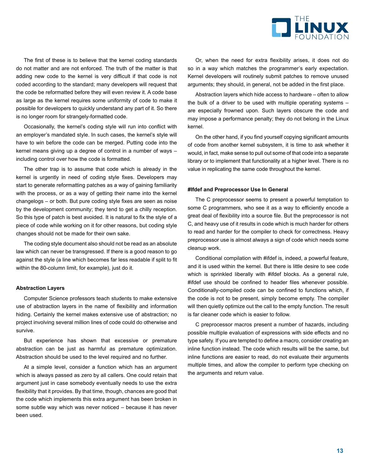

The first of these is to believe that the kernel coding standards do not matter and are not enforced. The truth of the matter is that adding new code to the kernel is very difficult if that code is not coded according to the standard; many developers will request that the code be reformatted before they will even review it. A code base as large as the kernel requires some uniformity of code to make it possible for developers to quickly understand any part of it. So there is no longer room for strangely-formatted code.

 Occasionally, the kernel's coding style will run into conflict with an employer's mandated style. In such cases, the kernel's style will have to win before the code can be merged. Putting code into the kernel means giving up a degree of control in a number of ways – including control over how the code is formatted.

The other trap is to assume that code which is already in the kernel is urgently in need of coding style fixes. Developers may start to generate reformatting patches as a way of gaining familiarity with the process, or as a way of getting their name into the kernel changelogs – or both. But pure coding style fixes are seen as noise by the development community; they tend to get a chilly reception. So this type of patch is best avoided. It is natural to fix the style of a piece of code while working on it for other reasons, but coding style changes should not be made for their own sake.

The coding style document also should not be read as an absolute law which can never be transgressed. If there is a good reason to go against the style (a line which becomes far less readable if split to fit within the 80-column limit, for example), just do it.

#### **Abstraction Layers**

Computer Science professors teach students to make extensive use of abstraction layers in the name of flexibility and information hiding. Certainly the kernel makes extensive use of abstraction; no project involving several million lines of code could do otherwise and survive.

But experience has shown that excessive or premature abstraction can be just as harmful as premature optimization. Abstraction should be used to the level required and no further.

At a simple level, consider a function which has an argument which is always passed as zero by all callers. One could retain that argument just in case somebody eventually needs to use the extra flexibility that it provides. By that time, though, chances are good that the code which implements this extra argument has been broken in some subtle way which was never noticed – because it has never been used.

Or, when the need for extra flexibility arises, it does not do so in a way which matches the programmer's early expectation. Kernel developers will routinely submit patches to remove unused arguments; they should, in general, not be added in the first place.

Abstraction layers which hide access to hardware – often to allow the bulk of a driver to be used with multiple operating systems – are especially frowned upon. Such layers obscure the code and may impose a performance penalty; they do not belong in the Linux kernel.

On the other hand, if you find yourself copying significant amounts of code from another kernel subsystem, it is time to ask whether it would, in fact, make sense to pull out some of that code into a separate library or to implement that functionality at a higher level. There is no value in replicating the same code throughout the kernel.

#### **#Ifdef and Preprocessor Use In General**

The C preprocessor seems to present a powerful temptation to some C programmers, who see it as a way to efficiently encode a great deal of flexibility into a source file. But the preprocessor is not C, and heavy use of it results in code which is much harder for others to read and harder for the compiler to check for correctness. Heavy preprocessor use is almost always a sign of code which needs some cleanup work.

Conditional compilation with #ifdef is, indeed, a powerful feature, and it is used within the kernel. But there is little desire to see code which is sprinkled liberally with #ifdef blocks. As a general rule, #ifdef use should be confined to header files whenever possible. Conditionally-compiled code can be confined to functions which, if the code is not to be present, simply become empty. The compiler will then quietly optimize out the call to the empty function. The result is far cleaner code which is easier to follow.

C preprocessor macros present a number of hazards, including possible multiple evaluation of expressions with side effects and no type safety. If you are tempted to define a macro, consider creating an inline function instead. The code which results will be the same, but inline functions are easier to read, do not evaluate their arguments multiple times, and allow the compiler to perform type checking on the arguments and return value.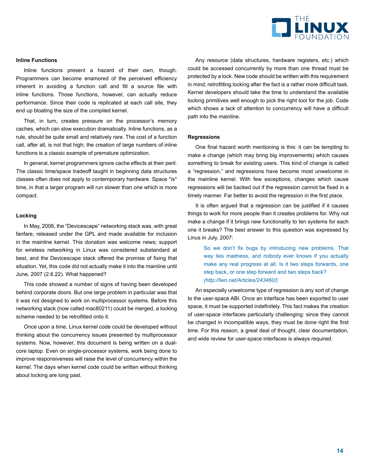

## **Inline Functions**

Inline functions present a hazard of their own, though. Programmers can become enamored of the perceived efficiency inherent in avoiding a function call and fill a source file with inline functions. Those functions, however, can actually reduce performance. Since their code is replicated at each call site, they end up bloating the size of the compiled kernel.

That, in turn, creates pressure on the processor's memory caches, which can slow execution dramatically. Inline functions, as a rule, should be quite small and relatively rare. The cost of a function call, after all, is not that high; the creation of large numbers of inline functions is a classic example of premature optimization.

In general, kernel programmers ignore cache effects at their peril. The classic time/space tradeoff taught in beginning data structures classes often does not apply to contemporary hardware. Space \*is\* time, in that a larger program will run slower than one which is more compact.

#### **Locking**

In May, 2006, the "Devicescape" networking stack was, with great fanfare, released under the GPL and made available for inclusion in the mainline kernel. This donation was welcome news; support for wireless networking in Linux was considered substandard at best, and the Devicescape stack offered the promise of fixing that situation. Yet, this code did not actually make it into the mainline until June, 2007 (2.6.22). What happened?

This code showed a number of signs of having been developed behind corporate doors. But one large problem in particular was that it was not designed to work on multiprocessor systems. Before this networking stack (now called mac80211) could be merged, a locking scheme needed to be retrofitted onto it.

Once upon a time, Linux kernel code could be developed without thinking about the concurrency issues presented by multiprocessor systems. Now, however, this document is being written on a dualcore laptop. Even on single-processor systems, work being done to improve responsiveness will raise the level of concurrency within the kernel. The days when kernel code could be written without thinking about locking are long past.

Any resource (data structures, hardware registers, etc.) which could be accessed concurrently by more than one thread must be protected by a lock. New code should be written with this requirement in mind; retrofitting locking after the fact is a rather more difficult task. Kernel developers should take the time to understand the available locking primitives well enough to pick the right tool for the job. Code which shows a lack of attention to concurrency will have a difficult path into the mainline.

#### **Regressions**

One final hazard worth mentioning is this: it can be tempting to make a change (which may bring big improvements) which causes something to break for existing users. This kind of change is called a "regression," and regressions have become most unwelcome in the mainline kernel. With few exceptions, changes which cause regressions will be backed out if the regression cannot be fixed in a timely manner. Far better to avoid the regression in the first place.

It is often argued that a regression can be justified if it causes things to work for more people than it creates problems for. Why not make a change if it brings new functionality to ten systems for each one it breaks? The best answer to this question was expressed by Linus in July, 2007:

So we don't fix bugs by introducing new problems. That way lies madness, and nobody ever knows if you actually make any real progress at all. Is it two steps forwards, one step back, or one step forward and two steps back? *(http://lwn.net/Articles/243460/)*

An especially unwelcome type of regression is any sort of change to the user-space ABI. Once an interface has been exported to user space, it must be supported indefinitely. This fact makes the creation of user-space interfaces particularly challenging: since they cannot be changed in incompatible ways, they must be done right the first time. For this reason, a great deal of thought, clear documentation, and wide review for user-space interfaces is always required.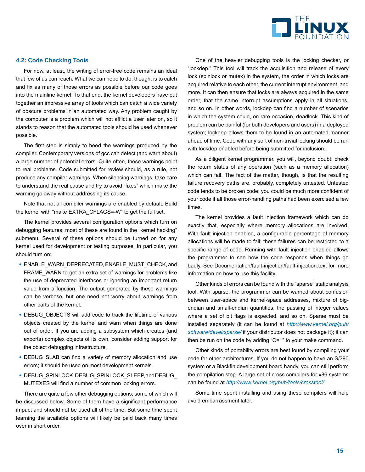

## **4.2: Code Checking Tools**

For now, at least, the writing of error-free code remains an ideal that few of us can reach. What we can hope to do, though, is to catch and fix as many of those errors as possible before our code goes into the mainline kernel. To that end, the kernel developers have put together an impressive array of tools which can catch a wide variety of obscure problems in an automated way. Any problem caught by the computer is a problem which will not afflict a user later on, so it stands to reason that the automated tools should be used whenever possible.

The first step is simply to heed the warnings produced by the compiler. Contemporary versions of gcc can detect (and warn about) a large number of potential errors. Quite often, these warnings point to real problems. Code submitted for review should, as a rule, not produce any compiler warnings. When silencing warnings, take care to understand the real cause and try to avoid "fixes" which make the warning go away without addressing its cause.

Note that not all compiler warnings are enabled by default. Build the kernel with "make EXTRA\_CFLAGS=-W" to get the full set.

The kernel provides several configuration options which turn on debugging features; most of these are found in the "kernel hacking" submenu. Several of these options should be turned on for any kernel used for development or testing purposes. In particular, you should turn on:

- ENABLE\_WARN\_DEPRECATED, ENABLE\_MUST\_CHECK, and FRAME\_WARN to get an extra set of warnings for problems like the use of deprecated interfaces or ignoring an important return value from a function. The output generated by these warnings can be verbose, but one need not worry about warnings from other parts of the kernel.
- DEBUG OBJECTS will add code to track the lifetime of various objects created by the kernel and warn when things are done out of order. If you are adding a subsystem which creates (and exports) complex objects of its own, consider adding support for the object debugging infrastructure.
- DEBUG\_SLAB can find a variety of memory allocation and use errors; it should be used on most development kernels.
- DEBUG\_SPINLOCK, DEBUG\_SPINLOCK\_SLEEP, and DEBUG MUTEXES will find a number of common locking errors.

There are quite a few other debugging options, some of which will be discussed below. Some of them have a significant performance impact and should not be used all of the time. But some time spent learning the available options will likely be paid back many times over in short order.

One of the heavier debugging tools is the locking checker, or "lockdep." This tool will track the acquisition and release of every lock (spinlock or mutex) in the system, the order in which locks are acquired relative to each other, the current interrupt environment, and more. It can then ensure that locks are always acquired in the same order, that the same interrupt assumptions apply in all situations, and so on. In other words, lockdep can find a number of scenarios in which the system could, on rare occasion, deadlock. This kind of problem can be painful (for both developers and users) in a deployed system; lockdep allows them to be found in an automated manner ahead of time. Code with any sort of non-trivial locking should be run with lockdep enabled before being submitted for inclusion.

As a diligent kernel programmer, you will, beyond doubt, check the return status of any operation (such as a memory allocation) which can fail. The fact of the matter, though, is that the resulting failure recovery paths are, probably, completely untested. Untested code tends to be broken code; you could be much more confident of your code if all those error-handling paths had been exercised a few times.

The kernel provides a fault injection framework which can do exactly that, especially where memory allocations are involved. With fault injection enabled, a configurable percentage of memory allocations will be made to fail; these failures can be restricted to a specific range of code. Running with fault injection enabled allows the programmer to see how the code responds when things go badly. See Documentation/fault-injection/fault-injection.text for more information on how to use this facility.

Other kinds of errors can be found with the "sparse" static analysis tool. With sparse, the programmer can be warned about confusion between user-space and kernel-space addresses, mixture of bigendian and small-endian quantities, the passing of integer values where a set of bit flags is expected, and so on. Sparse must be installed separately (it can be found at *http://www.kernel.org/pub/ software/devel/sparse/* if your distributor does not package it); it can then be run on the code by adding "C=1" to your make command.

Other kinds of portability errors are best found by compiling your code for other architectures. If you do not happen to have an S/390 system or a Blackfin development board handy, you can still perform the compilation step. A large set of cross compilers for x86 systems can be found at *http://www.kernel.org/pub/tools/crosstool/*

Some time spent installing and using these compilers will help avoid embarrassment later.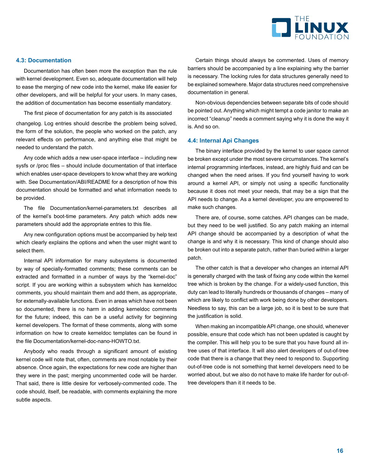

## **4.3: Documentation**

Documentation has often been more the exception than the rule with kernel development. Even so, adequate documentation will help to ease the merging of new code into the kernel, make life easier for other developers, and will be helpful for your users. In many cases, the addition of documentation has become essentially mandatory.

The first piece of documentation for any patch is its associated

changelog. Log entries should describe the problem being solved, the form of the solution, the people who worked on the patch, any relevant effects on performance, and anything else that might be needed to understand the patch.

Any code which adds a new user-space interface – including new sysfs or /proc files – should include documentation of that interface which enables user-space developers to know what they are working with. See Documentation/ABI/README for a description of how this documentation should be formatted and what information needs to be provided.

The file Documentation/kernel-parameters.txt describes all of the kernel's boot-time parameters. Any patch which adds new parameters should add the appropriate entries to this file.

Any new configuration options must be accompanied by help text which clearly explains the options and when the user might want to select them.

Internal API information for many subsystems is documented by way of specially-formatted comments; these comments can be extracted and formatted in a number of ways by the "kernel-doc" script. If you are working within a subsystem which has kerneldoc comments, you should maintain them and add them, as appropriate, for externally-available functions. Even in areas which have not been so documented, there is no harm in adding kerneldoc comments for the future; indeed, this can be a useful activity for beginning kernel developers. The format of these comments, along with some information on how to create kerneldoc templates can be found in the file Documentation/kernel-doc-nano-HOWTO.txt.

Anybody who reads through a significant amount of existing kernel code will note that, often, comments are most notable by their absence. Once again, the expectations for new code are higher than they were in the past; merging uncommented code will be harder. That said, there is little desire for verbosely-commented code. The code should, itself, be readable, with comments explaining the more subtle aspects.

Certain things should always be commented. Uses of memory barriers should be accompanied by a line explaining why the barrier is necessary. The locking rules for data structures generally need to be explained somewhere. Major data structures need comprehensive documentation in general.

Non-obvious dependencies between separate bits of code should be pointed out. Anything which might tempt a code janitor to make an incorrect "cleanup" needs a comment saying why it is done the way it is. And so on.

## **4.4: Internal Api Changes**

The binary interface provided by the kernel to user space cannot be broken except under the most severe circumstances. The kernel's internal programming interfaces, instead, are highly fluid and can be changed when the need arises. If you find yourself having to work around a kernel API, or simply not using a specific functionality because it does not meet your needs, that may be a sign that the API needs to change. As a kernel developer, you are empowered to make such changes.

There are, of course, some catches. API changes can be made, but they need to be well justified. So any patch making an internal API change should be accompanied by a description of what the change is and why it is necessary. This kind of change should also be broken out into a separate patch, rather than buried within a larger patch.

The other catch is that a developer who changes an internal API is generally charged with the task of fixing any code within the kernel tree which is broken by the change. For a widely-used function, this duty can lead to literally hundreds or thousands of changes – many of which are likely to conflict with work being done by other developers. Needless to say, this can be a large job, so it is best to be sure that the justification is solid.

When making an incompatible API change, one should, whenever possible, ensure that code which has not been updated is caught by the compiler. This will help you to be sure that you have found all intree uses of that interface. It will also alert developers of out-of-tree code that there is a change that they need to respond to. Supporting out-of-tree code is not something that kernel developers need to be worried about, but we also do not have to make life harder for out-oftree developers than it it needs to be.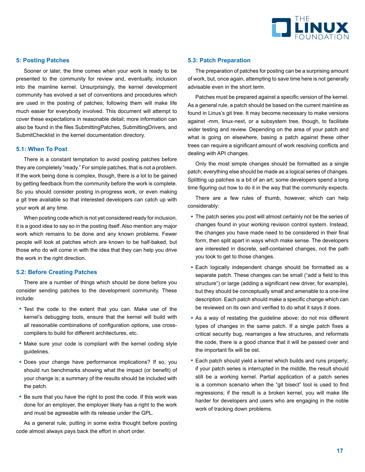

## **5: Posting Patches**

Sooner or later, the time comes when your work is ready to be presented to the community for review and, eventually, inclusion into the mainline kernel. Unsurprisingly, the kernel development community has evolved a set of conventions and procedures which are used in the posting of patches; following them will make life much easier for everybody involved. This document will attempt to cover these expectations in reasonable detail; more information can also be found in the files SubmittingPatches, SubmittingDrivers, and SubmitChecklist in the kernel documentation directory.

## **5.1: When To Post**

There is a constant temptation to avoid posting patches before they are completely "ready." For simple patches, that is not a problem. If the work being done is complex, though, there is a lot to be gained by getting feedback from the community before the work is complete. So you should consider posting in-progress work, or even making a git tree available so that interested developers can catch up with your work at any time.

When posting code which is not yet considered ready for inclusion, it is a good idea to say so in the posting itself. Also mention any major work which remains to be done and any known problems. Fewer people will look at patches which are known to be half-baked, but those who do will come in with the idea that they can help you drive the work in the right direction.

## **5.2: Before Creating Patches**

There are a number of things which should be done before you consider sending patches to the development community. These include:

- Test the code to the extent that you can. Make use of the kernel's debugging tools, ensure that the kernel will build with all reasonable combinations of configuration options, use crosscompilers to build for different architectures, etc.
- Make sure your code is compliant with the kernel coding style guidelines.
- Does your change have performance implications? If so, you should run benchmarks showing what the impact (or benefit) of your change is; a summary of the results should be included with the patch.
- Be sure that you have the right to post the code. If this work was done for an employer, the employer likely has a right to the work and must be agreeable with its release under the GPL.

As a general rule, putting in some extra thought before posting code almost always pays back the effort in short order.

## **5.3: Patch Preparation**

The preparation of patches for posting can be a surprising amount of work, but, once again, attempting to save time here is not generally advisable even in the short term.

Patches must be prepared against a specific version of the kernel. As a general rule, a patch should be based on the current mainline as found in Linus's git tree. It may become necessary to make versions against -mm, linux-next, or a subsystem tree, though, to facilitate wider testing and review. Depending on the area of your patch and what is going on elsewhere, basing a patch against these other trees can require a significant amount of work resolving conflicts and dealing with API changes.

Only the most simple changes should be formatted as a single patch; everything else should be made as a logical series of changes. Splitting up patches is a bit of an art; some developers spend a long time figuring out how to do it in the way that the community expects.

There are a few rules of thumb, however, which can help considerably:

- The patch series you post will almost certainly not be the series of changes found in your working revision control system. Instead, the changes you have made need to be considered in their final form, then split apart in ways which make sense. The developers are interested in discrete, self-contained changes, not the path you took to get to those changes.
- Each logically independent change should be formatted as a separate patch. These changes can be small ("add a field to this structure") or large (adding a significant new driver, for example), but they should be conceptually small and amenable to a one-line description. Each patch should make a specific change which can be reviewed on its own and verified to do what it says it does.
- As a way of restating the guideline above: do not mix different types of changes in the same patch. If a single patch fixes a critical security bug, rearranges a few structures, and reformats the code, there is a good chance that it will be passed over and the important fix will be ost.
- Each patch should yield a kernel which builds and runs properly; if your patch series is interrupted in the middle, the result should still be a working kernel. Partial application of a patch series is a common scenario when the "git bisect" tool is used to find regressions; if the result is a broken kernel, you will make life harder for developers and users who are engaging in the noble work of tracking down problems.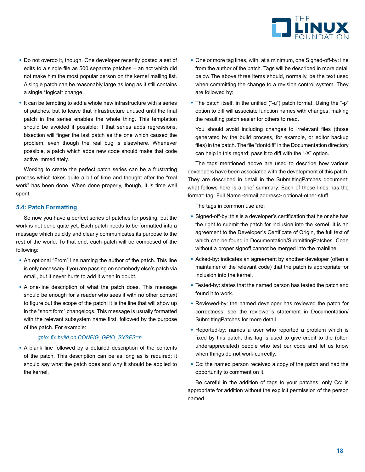

- Do not overdo it, though. One developer recently posted a set of edits to a single file as 500 separate patches – an act which did not make him the most popular person on the kernel mailing list. A single patch can be reasonably large as long as it still contains a single \*logical\* change.
- It can be tempting to add a whole new infrastructure with a series of patches, but to leave that infrastructure unused until the final patch in the series enables the whole thing. This temptation should be avoided if possible; if that series adds regressions, bisection will finger the last patch as the one which caused the problem, even though the real bug is elsewhere. Whenever possible, a patch which adds new code should make that code active immediately.

Working to create the perfect patch series can be a frustrating process which takes quite a bit of time and thought after the "real work" has been done. When done properly, though, it is time well spent.

## **5.4: Patch Formatting**

So now you have a perfect series of patches for posting, but the work is not done quite yet. Each patch needs to be formatted into a message which quickly and clearly communicates its purpose to the rest of the world. To that end, each patch will be composed of the following:

- An optional "From" line naming the author of the patch. This line is only necessary if you are passing on somebody else's patch via email, but it never hurts to add it when in doubt.
- A one-line description of what the patch does. This message should be enough for a reader who sees it with no other context to figure out the scope of the patch; it is the line that will show up in the "short form" changelogs. This message is usually formatted with the relevant subsystem name first, followed by the purpose of the patch. For example:

## *gpio: fix build on CONFIG\_GPIO\_SYSFS=n*

• A blank line followed by a detailed description of the contents of the patch. This description can be as long as is required; it should say what the patch does and why it should be applied to the kernel.

- One or more tag lines, with, at a minimum, one Signed-off-by: line from the author of the patch. Tags will be described in more detail below.The above three items should, normally, be the text used when committing the change to a revision control system. They are followed by:
- The patch itself, in the unified ("-u") patch format. Using the "-p" option to diff will associate function names with changes, making the resulting patch easier for others to read.

 You should avoid including changes to irrelevant files (those generated by the build process, for example, or editor backup files) in the patch. The file "dontdiff" in the Documentation directory can help in this regard; pass it to diff with the "-X" option.

The tags mentioned above are used to describe how various developers have been associated with the development of this patch. They are described in detail in the SubmittingPatches document; what follows here is a brief summary. Each of these lines has the format: tag: Full Name <email address> optional-other-stuff

The tags in common use are:

- Signed-off-by: this is a developer's certification that he or she has the right to submit the patch for inclusion into the kernel. It is an agreement to the Developer's Certificate of Origin, the full text of which can be found in Documentation/SubmittingPatches. Code without a proper signoff cannot be merged into the mainline.
- Acked-by: indicates an agreement by another developer (often a maintainer of the relevant code) that the patch is appropriate for inclusion into the kernel.
- Tested-by: states that the named person has tested the patch and found it to work.
- Reviewed-by: the named developer has reviewed the patch for correctness; see the reviewer's statement in Documentation/ SubmittingPatches for more detail.
- Reported-by: names a user who reported a problem which is fixed by this patch; this tag is used to give credit to the (often underappreciated) people who test our code and let us know when things do not work correctly.
- Cc: the named person received a copy of the patch and had the opportunity to comment on it.

Be careful in the addition of tags to your patches: only Cc: is appropriate for addition without the explicit permission of the person named.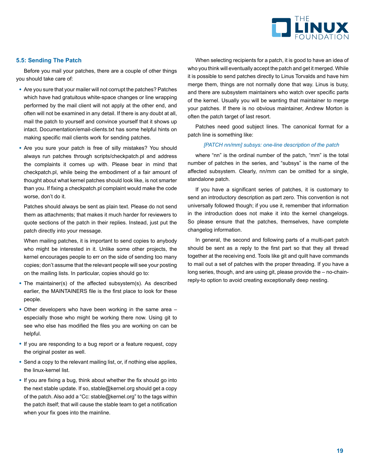

## **5.5: Sending The Patch**

Before you mail your patches, there are a couple of other things you should take care of:

- Are you sure that your mailer will not corrupt the patches? Patches which have had gratuitous white-space changes or line wrapping performed by the mail client will not apply at the other end, and often will not be examined in any detail. If there is any doubt at all, mail the patch to yourself and convince yourself that it shows up intact. Documentation/email-clients.txt has some helpful hints on making specific mail clients work for sending patches.
- Are you sure your patch is free of silly mistakes? You should always run patches through scripts/checkpatch.pl and address the complaints it comes up with. Please bear in mind that checkpatch.pl, while being the embodiment of a fair amount of thought about what kernel patches should look like, is not smarter than you. If fixing a checkpatch.pl complaint would make the code worse, don't do it.

 Patches should always be sent as plain text. Please do not send them as attachments; that makes it much harder for reviewers to quote sections of the patch in their replies. Instead, just put the patch directly into your message.

 When mailing patches, it is important to send copies to anybody who might be interested in it. Unlike some other projects, the kernel encourages people to err on the side of sending too many copies; don't assume that the relevant people will see your posting on the mailing lists. In particular, copies should go to:

- The maintainer(s) of the affected subsystem(s). As described earlier, the MAINTAINERS file is the first place to look for these people.
- Other developers who have been working in the same area especially those who might be working there now. Using git to see who else has modified the files you are working on can be helpful.
- If you are responding to a bug report or a feature request, copy the original poster as well.
- Send a copy to the relevant mailing list, or, if nothing else applies, the linux-kernel list.
- If you are fixing a bug, think about whether the fix should go into the next stable update. If so, stable@kernel.org should get a copy of the patch. Also add a "Cc: stable@kernel.org" to the tags within the patch itself; that will cause the stable team to get a notification when your fix goes into the mainline.

When selecting recipients for a patch, it is good to have an idea of who you think will eventually accept the patch and get it merged. While it is possible to send patches directly to Linus Torvalds and have him merge them, things are not normally done that way. Linus is busy, and there are subsystem maintainers who watch over specific parts of the kernel. Usually you will be wanting that maintainer to merge your patches. If there is no obvious maintainer, Andrew Morton is often the patch target of last resort.

Patches need good subject lines. The canonical format for a patch line is something like:

#### *[PATCH nn/mm] subsys: one-line description of the patch*

where "nn" is the ordinal number of the patch, "mm" is the total number of patches in the series, and "subsys" is the name of the affected subsystem. Clearly, nn/mm can be omitted for a single, standalone patch.

If you have a significant series of patches, it is customary to send an introductory description as part zero. This convention is not universally followed though; if you use it, remember that information in the introduction does not make it into the kernel changelogs. So please ensure that the patches, themselves, have complete changelog information.

In general, the second and following parts of a multi-part patch should be sent as a reply to the first part so that they all thread together at the receiving end. Tools like git and quilt have commands to mail out a set of patches with the proper threading. If you have a long series, though, and are using git, please provide the – no-chainreply-to option to avoid creating exceptionally deep nesting.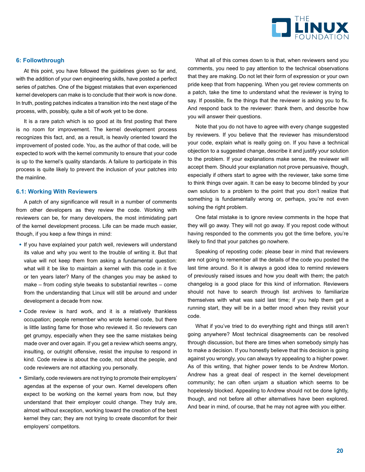

## **6: Followthrough**

At this point, you have followed the guidelines given so far and, with the addition of your own engineering skills, have posted a perfect series of patches. One of the biggest mistakes that even experienced kernel developers can make is to conclude that their work is now done. In truth, posting patches indicates a transition into the next stage of the process, with, possibly, quite a bit of work yet to be done.

It is a rare patch which is so good at its first posting that there is no room for improvement. The kernel development process recognizes this fact, and, as a result, is heavily oriented toward the improvement of posted code. You, as the author of that code, will be expected to work with the kernel community to ensure that your code is up to the kernel's quality standards. A failure to participate in this process is quite likely to prevent the inclusion of your patches into the mainline.

#### **6.1: Working With Reviewers**

A patch of any significance will result in a number of comments from other developers as they review the code. Working with reviewers can be, for many developers, the most intimidating part of the kernel development process. Life can be made much easier, though, if you keep a few things in mind:

- If you have explained your patch well, reviewers will understand its value and why you went to the trouble of writing it. But that value will not keep them from asking a fundamental question: what will it be like to maintain a kernel with this code in it five or ten years later? Many of the changes you may be asked to make – from coding style tweaks to substantial rewrites – come from the understanding that Linux will still be around and under development a decade from now.
- Code review is hard work, and it is a relatively thankless occupation; people remember who wrote kernel code, but there is little lasting fame for those who reviewed it. So reviewers can get grumpy, especially when they see the same mistakes being made over and over again. If you get a review which seems angry, insulting, or outright offensive, resist the impulse to respond in kind. Code review is about the code, not about the people, and code reviewers are not attacking you personally.
- Similarly, code reviewers are not trying to promote their employers' agendas at the expense of your own. Kernel developers often expect to be working on the kernel years from now, but they understand that their employer could change. They truly are, almost without exception, working toward the creation of the best kernel they can; they are not trying to create discomfort for their employers' competitors.

What all of this comes down to is that, when reviewers send you comments, you need to pay attention to the technical observations that they are making. Do not let their form of expression or your own pride keep that from happening. When you get review comments on a patch, take the time to understand what the reviewer is trying to say. If possible, fix the things that the reviewer is asking you to fix. And respond back to the reviewer: thank them, and describe how you will answer their questions.

Note that you do not have to agree with every change suggested by reviewers. If you believe that the reviewer has misunderstood your code, explain what is really going on. If you have a technical objection to a suggested change, describe it and justify your solution to the problem. If your explanations make sense, the reviewer will accept them. Should your explanation not prove persuasive, though, especially if others start to agree with the reviewer, take some time to think things over again. It can be easy to become blinded by your own solution to a problem to the point that you don't realize that something is fundamentally wrong or, perhaps, you're not even solving the right problem.

One fatal mistake is to ignore review comments in the hope that they will go away. They will not go away. If you repost code without having responded to the comments you got the time before, you're likely to find that your patches go nowhere.

Speaking of reposting code: please bear in mind that reviewers are not going to remember all the details of the code you posted the last time around. So it is always a good idea to remind reviewers of previously raised issues and how you dealt with them; the patch changelog is a good place for this kind of information. Reviewers should not have to search through list archives to familiarize themselves with what was said last time; if you help them get a running start, they will be in a better mood when they revisit your code.

What if you've tried to do everything right and things still aren't going anywhere? Most technical disagreements can be resolved through discussion, but there are times when somebody simply has to make a decision. If you honestly believe that this decision is going against you wrongly, you can always try appealing to a higher power. As of this writing, that higher power tends to be Andrew Morton. Andrew has a great deal of respect in the kernel development community; he can often unjam a situation which seems to be hopelessly blocked. Appealing to Andrew should not be done lightly, though, and not before all other alternatives have been explored. And bear in mind, of course, that he may not agree with you either.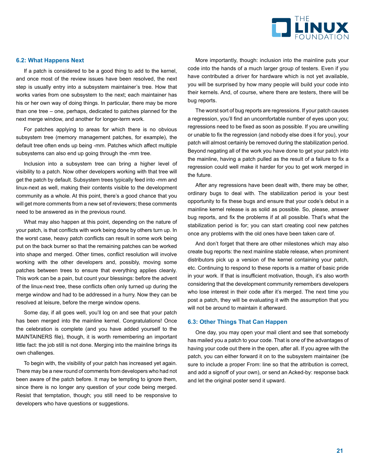

## **6.2: What Happens Next**

If a patch is considered to be a good thing to add to the kernel, and once most of the review issues have been resolved, the next step is usually entry into a subsystem maintainer's tree. How that works varies from one subsystem to the next; each maintainer has his or her own way of doing things. In particular, there may be more than one tree – one, perhaps, dedicated to patches planned for the next merge window, and another for longer-term work.

For patches applying to areas for which there is no obvious subsystem tree (memory management patches, for example), the default tree often ends up being -mm. Patches which affect multiple subsystems can also end up going through the -mm tree.

Inclusion into a subsystem tree can bring a higher level of visibility to a patch. Now other developers working with that tree will get the patch by default. Subsystem trees typically feed into -mm and linux-next as well, making their contents visible to the development community as a whole. At this point, there's a good chance that you will get more comments from a new set of reviewers; these comments need to be answered as in the previous round.

What may also happen at this point, depending on the nature of your patch, is that conflicts with work being done by others turn up. In the worst case, heavy patch conflicts can result in some work being put on the back burner so that the remaining patches can be worked into shape and merged. Other times, conflict resolution will involve working with the other developers and, possibly, moving some patches between trees to ensure that everything applies cleanly. This work can be a pain, but count your blessings: before the advent of the linux-next tree, these conflicts often only turned up during the merge window and had to be addressed in a hurry. Now they can be resolved at leisure, before the merge window opens.

Some day, if all goes well, you'll log on and see that your patch has been merged into the mainline kernel. Congratulations! Once the celebration is complete (and you have added yourself to the MAINTAINERS file), though, it is worth remembering an important little fact: the job still is not done. Merging into the mainline brings its own challenges.

To begin with, the visibility of your patch has increased yet again. There may be a new round of comments from developers who had not been aware of the patch before. It may be tempting to ignore them, since there is no longer any question of your code being merged. Resist that temptation, though; you still need to be responsive to developers who have questions or suggestions.

More importantly, though: inclusion into the mainline puts your code into the hands of a much larger group of testers. Even if you have contributed a driver for hardware which is not yet available, you will be surprised by how many people will build your code into their kernels. And, of course, where there are testers, there will be bug reports.

The worst sort of bug reports are regressions. If your patch causes a regression, you'll find an uncomfortable number of eyes upon you; regressions need to be fixed as soon as possible. If you are unwilling or unable to fix the regression (and nobody else does it for you), your patch will almost certainly be removed during the stabilization period. Beyond negating all of the work you have done to get your patch into the mainline, having a patch pulled as the result of a failure to fix a regression could well make it harder for you to get work merged in the future.

After any regressions have been dealt with, there may be other, ordinary bugs to deal with. The stabilization period is your best opportunity to fix these bugs and ensure that your code's debut in a mainline kernel release is as solid as possible. So, please, answer bug reports, and fix the problems if at all possible. That's what the stabilization period is for; you can start creating cool new patches once any problems with the old ones have been taken care of.

And don't forget that there are other milestones which may also create bug reports: the next mainline stable release, when prominent distributors pick up a version of the kernel containing your patch, etc. Continuing to respond to these reports is a matter of basic pride in your work. If that is insufficient motivation, though, it's also worth considering that the development community remembers developers who lose interest in their code after it's merged. The next time you post a patch, they will be evaluating it with the assumption that you will not be around to maintain it afterward.

## **6.3: Other Things That Can Happen**

One day, you may open your mail client and see that somebody has mailed you a patch to your code. That is one of the advantages of having your code out there in the open, after all. If you agree with the patch, you can either forward it on to the subsystem maintainer (be sure to include a proper From: line so that the attribution is correct, and add a signoff of your own), or send an Acked-by: response back and let the original poster send it upward.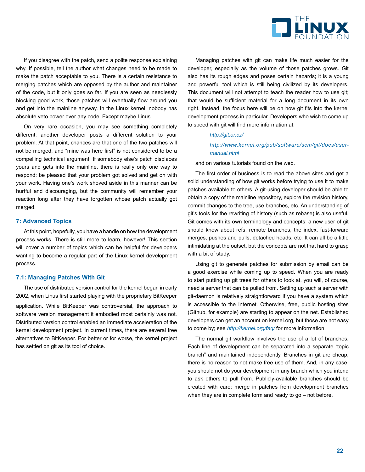

If you disagree with the patch, send a polite response explaining why. If possible, tell the author what changes need to be made to make the patch acceptable to you. There is a certain resistance to merging patches which are opposed by the author and maintainer of the code, but it only goes so far. If you are seen as needlessly blocking good work, those patches will eventually flow around you and get into the mainline anyway. In the Linux kernel, nobody has absolute veto power over any code. Except maybe Linus.

On very rare occasion, you may see something completely different: another developer posts a different solution to your problem. At that point, chances are that one of the two patches will not be merged, and "mine was here first" is not considered to be a compelling technical argument. If somebody else's patch displaces yours and gets into the mainline, there is really only one way to respond: be pleased that your problem got solved and get on with your work. Having one's work shoved aside in this manner can be hurtful and discouraging, but the community will remember your reaction long after they have forgotten whose patch actually got merged.

## **7: Advanced Topics**

At this point, hopefully, you have a handle on how the development process works. There is still more to learn, however! This section will cover a number of topics which can be helpful for developers wanting to become a regular part of the Linux kernel development process.

#### **7.1: Managing Patches With Git**

The use of distributed version control for the kernel began in early 2002, when Linus first started playing with the proprietary BitKeeper application. While BitKeeper was controversial, the approach to software version management it embodied most certainly was not. Distributed version control enabled an immediate acceleration of the kernel development project. In current times, there are several free alternatives to BitKeeper. For better or for worse, the kernel project has settled on git as its tool of choice.

Managing patches with git can make life much easier for the developer, especially as the volume of those patches grows. Git also has its rough edges and poses certain hazards; it is a young and powerful tool which is still being civilized by its developers. This document will not attempt to teach the reader how to use git; that would be sufficient material for a long document in its own right. Instead, the focus here will be on how git fits into the kernel development process in particular. Developers who wish to come up to speed with git will find more information at:

## *http://git.or.cz/*

*http://www.kernel.org/pub/software/scm/git/docs/usermanual.html*

and on various tutorials found on the web.

 The first order of business is to read the above sites and get a solid understanding of how git works before trying to use it to make patches available to others. A git-using developer should be able to obtain a copy of the mainline repository, explore the revision history, commit changes to the tree, use branches, etc. An understanding of git's tools for the rewriting of history (such as rebase) is also useful. Git comes with its own terminology and concepts; a new user of git should know about refs, remote branches, the index, fast-forward merges, pushes and pulls, detached heads, etc. It can all be a little intimidating at the outset, but the concepts are not that hard to grasp with a bit of study.

Using git to generate patches for submission by email can be a good exercise while coming up to speed. When you are ready to start putting up git trees for others to look at, you will, of course, need a server that can be pulled from. Setting up such a server with git-daemon is relatively straightforward if you have a system which is accessible to the Internet. Otherwise, free, public hosting sites (Github, for example) are starting to appear on the net. Established developers can get an account on kernel.org, but those are not easy to come by; see *http://kernel.org/faq/* for more information.

The normal git workflow involves the use of a lot of branches. Each line of development can be separated into a separate "topic branch" and maintained independently. Branches in git are cheap, there is no reason to not make free use of them. And, in any case, you should not do your development in any branch which you intend to ask others to pull from. Publicly-available branches should be created with care; merge in patches from development branches when they are in complete form and ready to go – not before.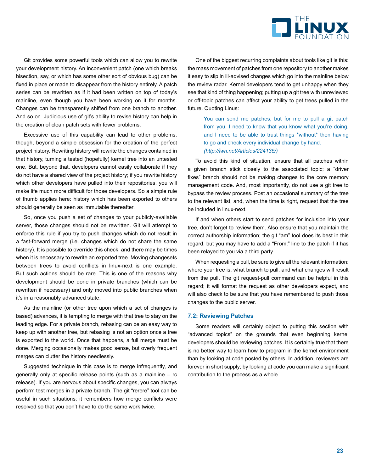

Git provides some powerful tools which can allow you to rewrite your development history. An inconvenient patch (one which breaks bisection, say, or which has some other sort of obvious bug) can be fixed in place or made to disappear from the history entirely. A patch series can be rewritten as if it had been written on top of today's mainline, even though you have been working on it for months. Changes can be transparently shifted from one branch to another. And so on. Judicious use of git's ability to revise history can help in the creation of clean patch sets with fewer problems.

Excessive use of this capability can lead to other problems, though, beyond a simple obsession for the creation of the perfect project history. Rewriting history will rewrite the changes contained in that history, turning a tested (hopefully) kernel tree into an untested one. But, beyond that, developers cannot easily collaborate if they do not have a shared view of the project history; if you rewrite history which other developers have pulled into their repositories, you will make life much more difficult for those developers. So a simple rule of thumb applies here: history which has been exported to others should generally be seen as immutable thereafter.

So, once you push a set of changes to your publicly-available server, those changes should not be rewritten. Git will attempt to enforce this rule if you try to push changes which do not result in a fast-forward merge (i.e. changes which do not share the same history). It is possible to override this check, and there may be times when it is necessary to rewrite an exported tree. Moving changesets between trees to avoid conflicts in linux-next is one example. But such actions should be rare. This is one of the reasons why development should be done in private branches (which can be rewritten if necessary) and only moved into public branches when it's in a reasonably advanced state.

As the mainline (or other tree upon which a set of changes is based) advances, it is tempting to merge with that tree to stay on the leading edge. For a private branch, rebasing can be an easy way to keep up with another tree, but rebasing is not an option once a tree is exported to the world. Once that happens, a full merge must be done. Merging occasionally makes good sense, but overly frequent merges can clutter the history needlessly.

Suggested technique in this case is to merge infrequently, and generally only at specific release points (such as a mainline – rc release). If you are nervous about specific changes, you can always perform test merges in a private branch. The git "rerere" tool can be useful in such situations; it remembers how merge conflicts were resolved so that you don't have to do the same work twice.

One of the biggest recurring complaints about tools like git is this: the mass movement of patches from one repository to another makes it easy to slip in ill-advised changes which go into the mainline below the review radar. Kernel developers tend to get unhappy when they see that kind of thing happening; putting up a git tree with unreviewed or off-topic patches can affect your ability to get trees pulled in the future. Quoting Linus:

You can send me patches, but for me to pull a git patch from you, I need to know that you know what you're doing, and I need to be able to trust things \*without\* then having to go and check every individual change by hand. *(http://lwn.net/Articles/224135/)*

 To avoid this kind of situation, ensure that all patches within a given branch stick closely to the associated topic; a "driver fixes" branch should not be making changes to the core memory management code. And, most importantly, do not use a git tree to bypass the review process. Post an occasional summary of the tree to the relevant list, and, when the time is right, request that the tree be included in linux-next.

If and when others start to send patches for inclusion into your tree, don't forget to review them. Also ensure that you maintain the correct authorship information; the git "am" tool does its best in this regard, but you may have to add a "From:" line to the patch if it has been relayed to you via a third party.

When requesting a pull, be sure to give all the relevant information: where your tree is, what branch to pull, and what changes will result from the pull. The git request-pull command can be helpful in this regard; it will format the request as other developers expect, and will also check to be sure that you have remembered to push those changes to the public server.

## **7.2: Reviewing Patches**

Some readers will certainly object to putting this section with "advanced topics" on the grounds that even beginning kernel developers should be reviewing patches. It is certainly true that there is no better way to learn how to program in the kernel environment than by looking at code posted by others. In addition, reviewers are forever in short supply; by looking at code you can make a significant contribution to the process as a whole.